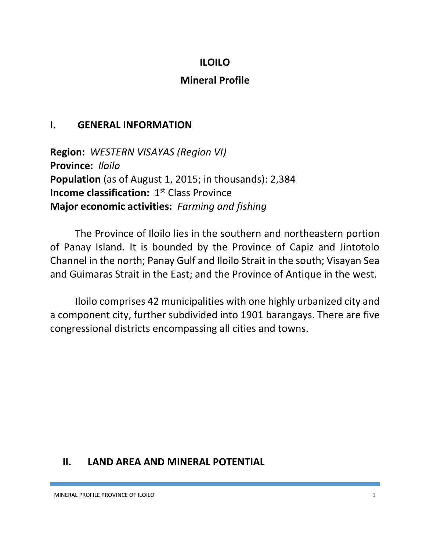### **ILOILO**

#### **Mineral Profile**

#### **I. GENERAL INFORMATION**

**Region:** *WESTERN VISAYAS (Region VI)* **Province:** *Iloilo* **Population** (as of August 1, 2015; in thousands): 2,384 **Income classification:** 1<sup>st</sup> Class Province **Major economic activities:** *Farming and fishing*

The Province of Iloilo lies in the southern and northeastern portion of Panay Island. It is bounded by the Province of Capiz and Jintotolo Channel in the north; Panay Gulf and Iloilo Strait in the south; Visayan Sea and Guimaras Strait in the East; and the Province of Antique in the west.

Iloilo comprises 42 municipalities with one highly urbanized city and a component city, further subdivided into 1901 barangays. There are five congressional districts encompassing all cities and towns.

## **II. LAND AREA AND MINERAL POTENTIAL**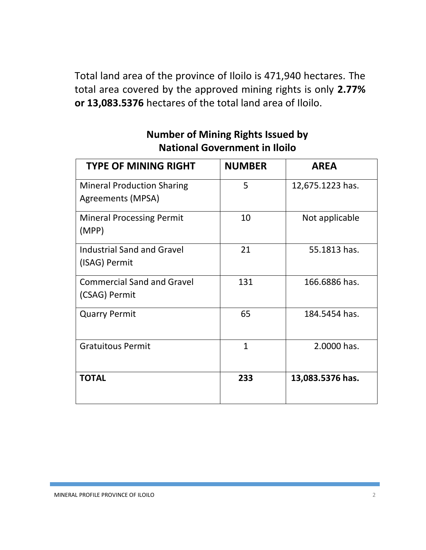Total land area of the province of Iloilo is 471,940 hectares. The total area covered by the approved mining rights is only **2.77% or 13,083.5376** hectares of the total land area of Iloilo.

| <b>TYPE OF MINING RIGHT</b>                            | <b>NUMBER</b>  | <b>AREA</b>      |
|--------------------------------------------------------|----------------|------------------|
| <b>Mineral Production Sharing</b><br>Agreements (MPSA) | 5              | 12,675.1223 has. |
| <b>Mineral Processing Permit</b><br>(MPP)              | 10             | Not applicable   |
| <b>Industrial Sand and Gravel</b><br>(ISAG) Permit     | 21             | 55.1813 has.     |
| <b>Commercial Sand and Gravel</b><br>(CSAG) Permit     | 131            | 166.6886 has.    |
| <b>Quarry Permit</b>                                   | 65             | 184.5454 has.    |
| <b>Gratuitous Permit</b>                               | $\overline{1}$ | 2.0000 has.      |
| <b>TOTAL</b>                                           | 233            | 13,083.5376 has. |

# **Number of Mining Rights Issued by National Government in Iloilo**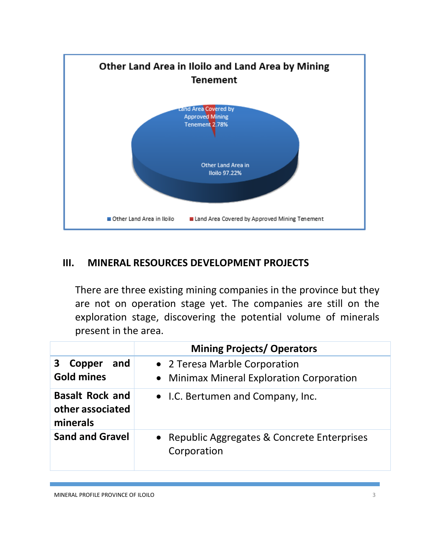

#### **III. MINERAL RESOURCES DEVELOPMENT PROJECTS**

There are three existing mining companies in the province but they are not on operation stage yet. The companies are still on the exploration stage, discovering the potential volume of minerals present in the area.

|                                                        | <b>Mining Projects/ Operators</b>                                          |  |  |
|--------------------------------------------------------|----------------------------------------------------------------------------|--|--|
| and<br>3<br>Copper<br><b>Gold mines</b>                | • 2 Teresa Marble Corporation<br>• Minimax Mineral Exploration Corporation |  |  |
| <b>Basalt Rock and</b><br>other associated<br>minerals | • I.C. Bertumen and Company, Inc.                                          |  |  |
| <b>Sand and Gravel</b>                                 | • Republic Aggregates & Concrete Enterprises<br>Corporation                |  |  |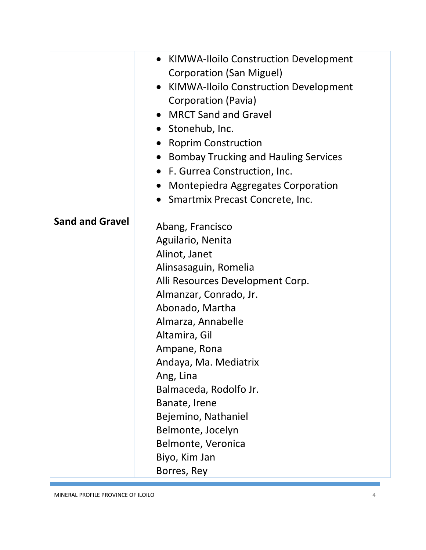|                        | <b>KIMWA-Iloilo Construction Development</b><br>$\bullet$<br><b>Corporation (San Miguel)</b><br>• KIMWA-Iloilo Construction Development<br>Corporation (Pavia)<br><b>MRCT Sand and Gravel</b><br>• Stonehub, Inc.<br><b>Roprim Construction</b><br><b>Bombay Trucking and Hauling Services</b><br>$\bullet$<br>• F. Gurrea Construction, Inc.<br><b>Montepiedra Aggregates Corporation</b><br>Smartmix Precast Concrete, Inc. |
|------------------------|-------------------------------------------------------------------------------------------------------------------------------------------------------------------------------------------------------------------------------------------------------------------------------------------------------------------------------------------------------------------------------------------------------------------------------|
| <b>Sand and Gravel</b> | Abang, Francisco<br>Aguilario, Nenita<br>Alinot, Janet<br>Alinsasaguin, Romelia<br>Alli Resources Development Corp.<br>Almanzar, Conrado, Jr.<br>Abonado, Martha<br>Almarza, Annabelle<br>Altamira, Gil<br>Ampane, Rona<br>Andaya, Ma. Mediatrix<br>Ang, Lina<br>Balmaceda, Rodolfo Jr.<br>Banate, Irene<br>Bejemino, Nathaniel<br>Belmonte, Jocelyn<br>Belmonte, Veronica<br>Biyo, Kim Jan<br>Borres, Rey                    |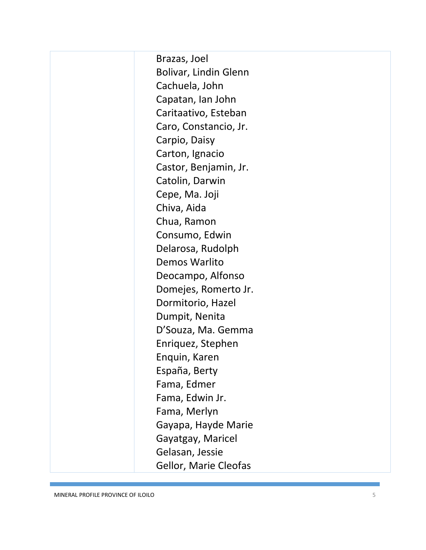Brazas, Joel Bolivar, Lindin Glenn Cachuela, John Capatan, Ian John Caritaativo, Esteban Caro, Constancio, Jr. Carpio, Daisy Carton, Ignacio Castor, Benjamin, Jr. Catolin, Darwin Cepe, Ma. Joji Chiva, Aida Chua, Ramon Consumo, Edwin Delarosa, Rudolph Demos Warlito Deocampo, Alfonso Domejes, Romerto Jr. Dormitorio, Hazel Dumpit, Nenita D'Souza, Ma. Gemma Enriquez, Stephen Enquin, Karen España, Berty Fama, Edmer Fama, Edwin Jr. Fama, Merlyn Gayapa, Hayde Marie Gayatgay, Maricel Gelasan, Jessie Gellor, Marie Cleofas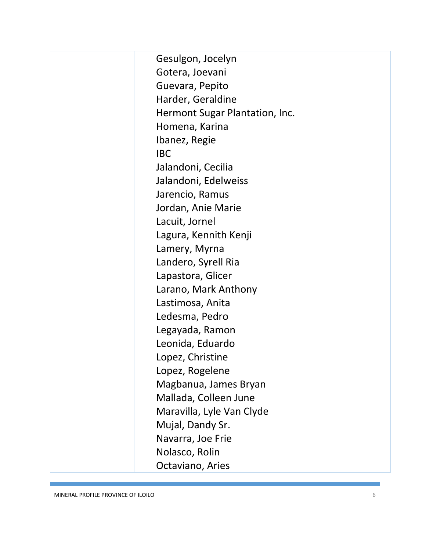Gesulgon, Jocelyn Gotera, Joevani Guevara, Pepito Harder, Geraldine Hermont Sugar Plantation, Inc. Homena, Karina Ibanez, Regie IBC Jalandoni, Cecilia Jalandoni, Edelweiss Jarencio, Ramus Jordan, Anie Marie Lacuit, Jornel Lagura, Kennith Kenji Lamery, Myrna Landero, Syrell Ria Lapastora, Glicer Larano, Mark Anthony Lastimosa, Anita Ledesma, Pedro Legayada, Ramon Leonida, Eduardo Lopez, Christine Lopez, Rogelene Magbanua, James Bryan Mallada, Colleen June Maravilla, Lyle Van Clyde Mujal, Dandy Sr. Navarra, Joe Frie Nolasco, Rolin Octaviano, Aries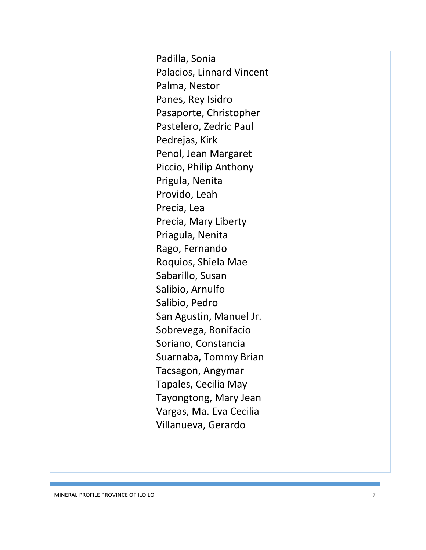Padilla, Sonia Palacios, Linnard Vincent Palma, Nestor Panes, Rey Isidro Pasaporte, Christopher Pastelero, Zedric Paul Pedrejas, Kirk Penol, Jean Margaret Piccio, Philip Anthony Prigula, Nenita Provido, Leah Precia, Lea Precia, Mary Liberty Priagula, Nenita Rago, Fernando Roquios, Shiela Mae Sabarillo, Susan Salibio, Arnulfo Salibio, Pedro San Agustin, Manuel Jr. Sobrevega, Bonifacio Soriano, Constancia Suarnaba, Tommy Brian Tacsagon, Angymar Tapales, Cecilia May Tayongtong, Mary Jean Vargas, Ma. Eva Cecilia Villanueva, Gerardo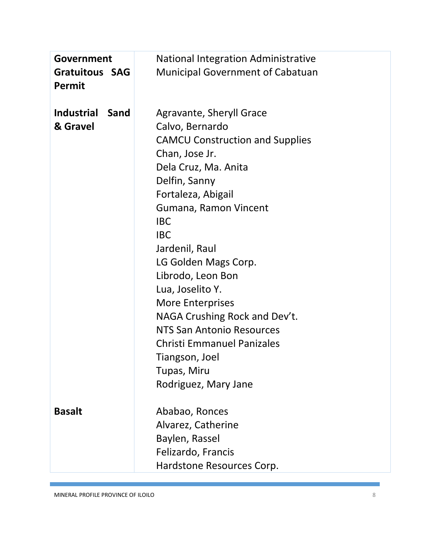| Government<br><b>Gratuitous SAG</b><br><b>Permit</b> | <b>National Integration Administrative</b><br><b>Municipal Government of Cabatuan</b> |
|------------------------------------------------------|---------------------------------------------------------------------------------------|
| <b>Industrial</b><br>Sand<br>& Gravel                | Agravante, Sheryll Grace<br>Calvo, Bernardo<br><b>CAMCU Construction and Supplies</b> |
|                                                      | Chan, Jose Jr.                                                                        |
|                                                      | Dela Cruz, Ma. Anita                                                                  |
|                                                      | Delfin, Sanny                                                                         |
|                                                      | Fortaleza, Abigail                                                                    |
|                                                      | Gumana, Ramon Vincent                                                                 |
|                                                      | <b>IBC</b>                                                                            |
|                                                      | <b>IBC</b>                                                                            |
|                                                      | Jardenil, Raul                                                                        |
|                                                      | LG Golden Mags Corp.                                                                  |
|                                                      | Librodo, Leon Bon                                                                     |
|                                                      | Lua, Joselito Y.                                                                      |
|                                                      | <b>More Enterprises</b>                                                               |
|                                                      | NAGA Crushing Rock and Dev't.                                                         |
|                                                      | <b>NTS San Antonio Resources</b>                                                      |
|                                                      | <b>Christi Emmanuel Panizales</b>                                                     |
|                                                      | Tiangson, Joel                                                                        |
|                                                      | Tupas, Miru                                                                           |
|                                                      | Rodriguez, Mary Jane                                                                  |
| <b>Basalt</b>                                        | Ababao, Ronces                                                                        |
|                                                      | Alvarez, Catherine                                                                    |
|                                                      | Baylen, Rassel                                                                        |
|                                                      |                                                                                       |
|                                                      |                                                                                       |
|                                                      | Felizardo, Francis<br>Hardstone Resources Corp.                                       |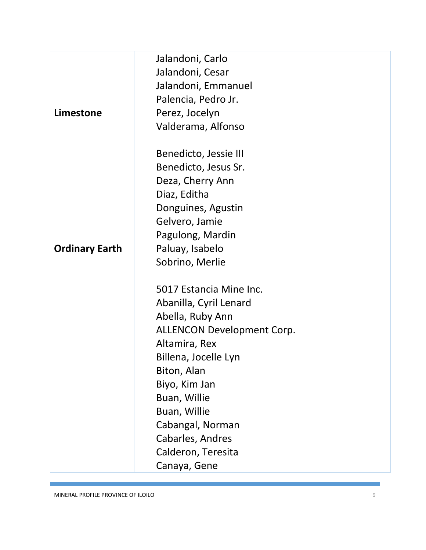|                       | Jalandoni, Carlo                  |
|-----------------------|-----------------------------------|
|                       | Jalandoni, Cesar                  |
|                       | Jalandoni, Emmanuel               |
|                       | Palencia, Pedro Jr.               |
| Limestone             | Perez, Jocelyn                    |
|                       | Valderama, Alfonso                |
|                       | Benedicto, Jessie III             |
|                       | Benedicto, Jesus Sr.              |
|                       | Deza, Cherry Ann                  |
|                       | Diaz, Editha                      |
|                       | Donguines, Agustin                |
|                       | Gelvero, Jamie                    |
|                       | Pagulong, Mardin                  |
| <b>Ordinary Earth</b> | Paluay, Isabelo                   |
|                       | Sobrino, Merlie                   |
|                       | 5017 Estancia Mine Inc.           |
|                       | Abanilla, Cyril Lenard            |
|                       | Abella, Ruby Ann                  |
|                       | <b>ALLENCON Development Corp.</b> |
|                       | Altamira, Rex                     |
|                       | Billena, Jocelle Lyn              |
|                       | Biton, Alan                       |
|                       | Biyo, Kim Jan                     |
|                       | Buan, Willie                      |
|                       | Buan, Willie                      |
|                       | Cabangal, Norman                  |
|                       | Cabarles, Andres                  |
|                       | Calderon, Teresita                |
|                       | Canaya, Gene                      |

f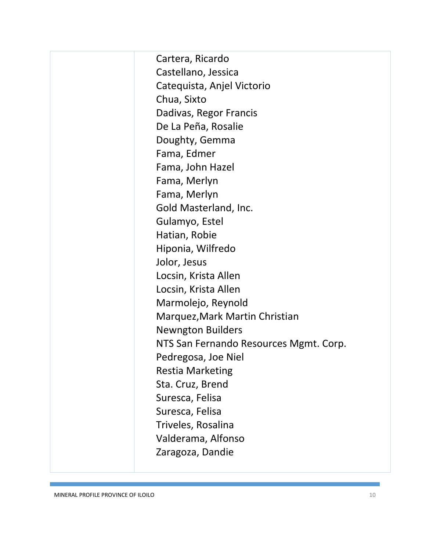Cartera, Ricardo Castellano, Jessica Catequista, Anjel Victorio Chua, Sixto Dadivas, Regor Francis De La Peña, Rosalie Doughty, Gemma Fama, Edmer Fama, John Hazel Fama, Merlyn Fama, Merlyn Gold Masterland, Inc. Gulamyo, Estel Hatian, Robie Hiponia, Wilfredo Jolor, Jesus Locsin, Krista Allen Locsin, Krista Allen Marmolejo, Reynold Marquez,Mark Martin Christian Newngton Builders NTS San Fernando Resources Mgmt. Corp. Pedregosa, Joe Niel Restia Marketing Sta. Cruz, Brend Suresca, Felisa Suresca, Felisa Triveles, Rosalina Valderama, Alfonso Zaragoza, Dandie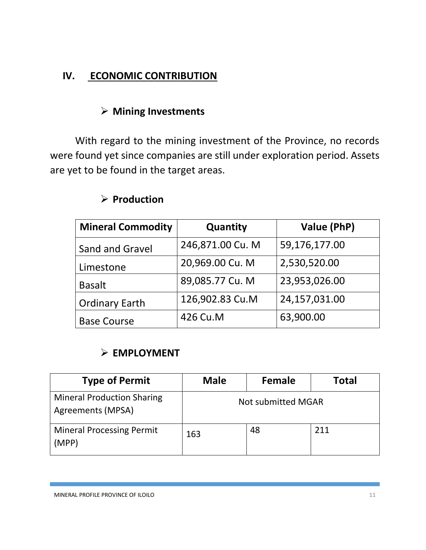# **IV. ECONOMIC CONTRIBUTION**

## **Mining Investments**

With regard to the mining investment of the Province, no records were found yet since companies are still under exploration period. Assets are yet to be found in the target areas.

| <b>Mineral Commodity</b> | Quantity         | Value (PhP)   |
|--------------------------|------------------|---------------|
| Sand and Gravel          | 246,871.00 Cu. M | 59,176,177.00 |
| Limestone                | 20,969.00 Cu. M  | 2,530,520.00  |
| <b>Basalt</b>            | 89,085.77 Cu. M  | 23,953,026.00 |
| <b>Ordinary Earth</b>    | 126,902.83 Cu.M  | 24,157,031.00 |
| <b>Base Course</b>       | 426 Cu.M         | 63,900.00     |

## **Production**

## **EMPLOYMENT**

| <b>Type of Permit</b>                                  | <b>Male</b>               | Female | Total |
|--------------------------------------------------------|---------------------------|--------|-------|
| <b>Mineral Production Sharing</b><br>Agreements (MPSA) | <b>Not submitted MGAR</b> |        |       |
| <b>Mineral Processing Permit</b><br>(MPP)              | 163                       | 48     | 211   |